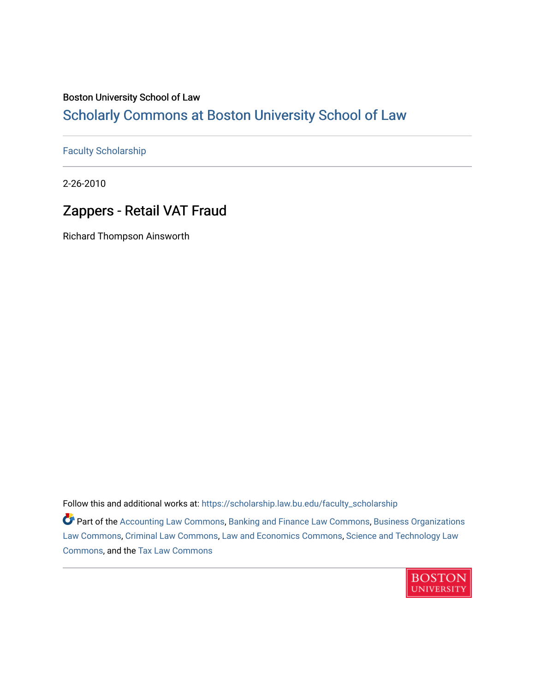### Boston University School of Law

## [Scholarly Commons at Boston University School of Law](https://scholarship.law.bu.edu/)

#### [Faculty Scholarship](https://scholarship.law.bu.edu/faculty_scholarship)

2-26-2010

## Zappers - Retail VAT Fraud

Richard Thompson Ainsworth

Follow this and additional works at: [https://scholarship.law.bu.edu/faculty\\_scholarship](https://scholarship.law.bu.edu/faculty_scholarship?utm_source=scholarship.law.bu.edu%2Ffaculty_scholarship%2F1473&utm_medium=PDF&utm_campaign=PDFCoverPages)

**P** Part of the [Accounting Law Commons](http://network.bepress.com/hgg/discipline/828?utm_source=scholarship.law.bu.edu%2Ffaculty_scholarship%2F1473&utm_medium=PDF&utm_campaign=PDFCoverPages), [Banking and Finance Law Commons](http://network.bepress.com/hgg/discipline/833?utm_source=scholarship.law.bu.edu%2Ffaculty_scholarship%2F1473&utm_medium=PDF&utm_campaign=PDFCoverPages), [Business Organizations](http://network.bepress.com/hgg/discipline/900?utm_source=scholarship.law.bu.edu%2Ffaculty_scholarship%2F1473&utm_medium=PDF&utm_campaign=PDFCoverPages) [Law Commons,](http://network.bepress.com/hgg/discipline/900?utm_source=scholarship.law.bu.edu%2Ffaculty_scholarship%2F1473&utm_medium=PDF&utm_campaign=PDFCoverPages) [Criminal Law Commons,](http://network.bepress.com/hgg/discipline/912?utm_source=scholarship.law.bu.edu%2Ffaculty_scholarship%2F1473&utm_medium=PDF&utm_campaign=PDFCoverPages) [Law and Economics Commons,](http://network.bepress.com/hgg/discipline/612?utm_source=scholarship.law.bu.edu%2Ffaculty_scholarship%2F1473&utm_medium=PDF&utm_campaign=PDFCoverPages) [Science and Technology Law](http://network.bepress.com/hgg/discipline/875?utm_source=scholarship.law.bu.edu%2Ffaculty_scholarship%2F1473&utm_medium=PDF&utm_campaign=PDFCoverPages)  [Commons](http://network.bepress.com/hgg/discipline/875?utm_source=scholarship.law.bu.edu%2Ffaculty_scholarship%2F1473&utm_medium=PDF&utm_campaign=PDFCoverPages), and the [Tax Law Commons](http://network.bepress.com/hgg/discipline/898?utm_source=scholarship.law.bu.edu%2Ffaculty_scholarship%2F1473&utm_medium=PDF&utm_campaign=PDFCoverPages)

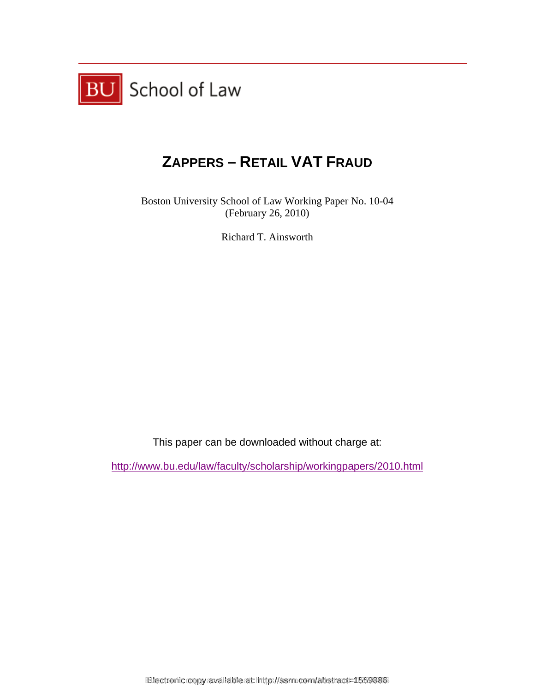

# **ZAPPERS – RETAIL VAT FRAUD**

Boston University School of Law Working Paper No. 10-04 (February 26, 2010)

Richard T. Ainsworth

This paper can be downloaded without charge at:

http://www.bu.edu/law/faculty/scholarship/workingpapers/2010.html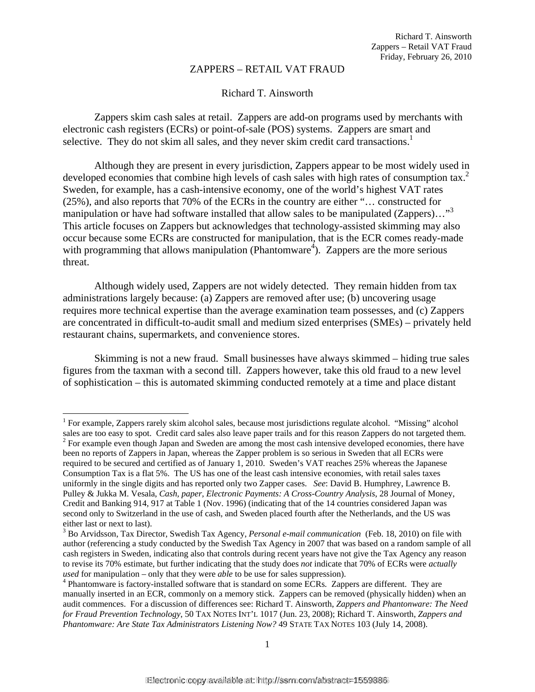#### ZAPPERS – RETAIL VAT FRAUD

#### Richard T. Ainsworth

 Zappers skim cash sales at retail. Zappers are add-on programs used by merchants with electronic cash registers (ECRs) or point-of-sale (POS) systems. Zappers are smart and selective. They do not skim all sales, and they never skim credit card transactions.<sup>1</sup>

Although they are present in every jurisdiction, Zappers appear to be most widely used in developed economies that combine high levels of cash sales with high rates of consumption tax.<sup>2</sup> Sweden, for example, has a cash-intensive economy, one of the world's highest VAT rates (25%), and also reports that 70% of the ECRs in the country are either "… constructed for manipulation or have had software installed that allow sales to be manipulated (Zappers)..."<sup>3</sup> This article focuses on Zappers but acknowledges that technology-assisted skimming may also occur because some ECRs are constructed for manipulation, that is the ECR comes ready-made with programming that allows manipulation (Phantomware<sup>4</sup>). Zappers are the more serious threat.

Although widely used, Zappers are not widely detected. They remain hidden from tax administrations largely because: (a) Zappers are removed after use; (b) uncovering usage requires more technical expertise than the average examination team possesses, and (c) Zappers are concentrated in difficult-to-audit small and medium sized enterprises (SMEs) – privately held restaurant chains, supermarkets, and convenience stores.

 Skimming is not a new fraud. Small businesses have always skimmed – hiding true sales figures from the taxman with a second till. Zappers however, take this old fraud to a new level of sophistication – this is automated skimming conducted remotely at a time and place distant

 $\overline{\phantom{a}}$ <sup>1</sup> For example, Zappers rarely skim alcohol sales, because most jurisdictions regulate alcohol. "Missing" alcohol sales are too easy to spot. Credit card sales also leave paper trails and for this reason Zappers do not targeted them. 2 <sup>2</sup> For example even though Japan and Sweden are among the most cash intensive developed economies, there have

been no reports of Zappers in Japan, whereas the Zapper problem is so serious in Sweden that all ECRs were required to be secured and certified as of January 1, 2010. Sweden's VAT reaches 25% whereas the Japanese Consumption Tax is a flat 5%. The US has one of the least cash intensive economies, with retail sales taxes uniformly in the single digits and has reported only two Zapper cases. *See*: David B. Humphrey, Lawrence B. Pulley & Jukka M. Vesala, *Cash, paper, Electronic Payments: A Cross-Country Analysis*, 28 Journal of Money, Credit and Banking 914, 917 at Table 1 (Nov. 1996) (indicating that of the 14 countries considered Japan was second only to Switzerland in the use of cash, and Sweden placed fourth after the Netherlands, and the US was either last or next to last).

<sup>3</sup> Bo Arvidsson, Tax Director, Swedish Tax Agency, *Personal e-mail communication* (Feb. 18, 2010) on file with author (referencing a study conducted by the Swedish Tax Agency in 2007 that was based on a random sample of all cash registers in Sweden, indicating also that controls during recent years have not give the Tax Agency any reason to revise its 70% estimate, but further indicating that the study does *not* indicate that 70% of ECRs were *actually used* for manipulation – only that they were *able* to be use for sales suppression). 4

Phantomware is factory-installed software that is standard on some ECRs. Zappers are different. They are manually inserted in an ECR, commonly on a memory stick. Zappers can be removed (physically hidden) when an audit commences. For a discussion of differences see: Richard T. Ainsworth, *Zappers and Phantonware: The Need for Fraud Prevention Technology*, 50 TAX NOTES INT'L 1017 (Jun. 23, 2008); Richard T. Ainsworth, *Zappers and*  Phantomware: Are State Tax Administrators Listening Now? 49 STATE TAX NOTES 103 (July 14, 2008).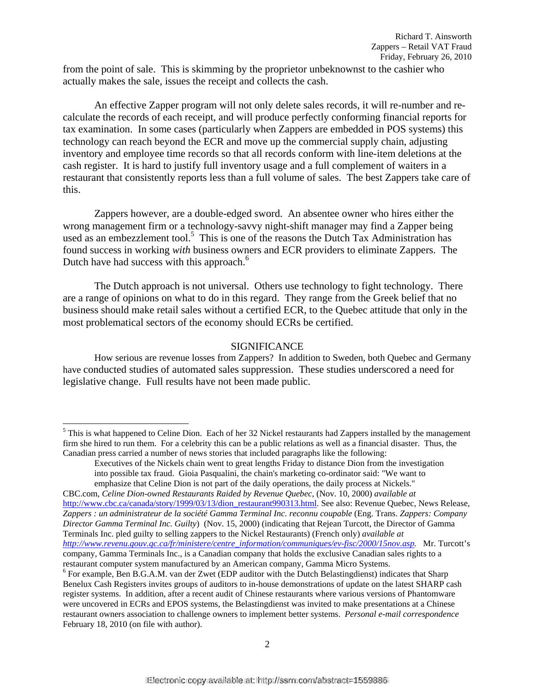from the point of sale. This is skimming by the proprietor unbeknownst to the cashier who actually makes the sale, issues the receipt and collects the cash.

An effective Zapper program will not only delete sales records, it will re-number and recalculate the records of each receipt, and will produce perfectly conforming financial reports for tax examination. In some cases (particularly when Zappers are embedded in POS systems) this technology can reach beyond the ECR and move up the commercial supply chain, adjusting inventory and employee time records so that all records conform with line-item deletions at the cash register. It is hard to justify full inventory usage and a full complement of waiters in a restaurant that consistently reports less than a full volume of sales. The best Zappers take care of this.

Zappers however, are a double-edged sword. An absentee owner who hires either the wrong management firm or a technology-savvy night-shift manager may find a Zapper being used as an embezzlement tool.<sup>5</sup> This is one of the reasons the Dutch Tax Administration has found success in working *with* business owners and ECR providers to eliminate Zappers. The Dutch have had success with this approach.<sup>6</sup>

The Dutch approach is not universal. Others use technology to fight technology. There are a range of opinions on what to do in this regard. They range from the Greek belief that no business should make retail sales without a certified ECR, to the Quebec attitude that only in the most problematical sectors of the economy should ECRs be certified.

#### **SIGNIFICANCE**

How serious are revenue losses from Zappers? In addition to Sweden, both Quebec and Germany have conducted studies of automated sales suppression. These studies underscored a need for legislative change. Full results have not been made public.

l

CBC.com, *Celine Dion-owned Restaurants Raided by Revenue Quebec*, (Nov. 10, 2000) *available at* http://www.cbc.ca/canada/story/1999/03/13/dion\_restaurant990313.html. See also: Revenue Quebec, News Release, *Zappers : un administrateur de la société Gamma Terminal Inc. reconnu coupable* (Eng. Trans. *Zappers: Company Director Gamma Terminal Inc. Guilty*) (Nov. 15, 2000) (indicating that Rejean Turcott, the Director of Gamma Terminals Inc. pled guilty to selling zappers to the Nickel Restaurants) (French only) *available at http://www.revenu.gouv.qc.ca/fr/ministere/centre\_information/communiques/ev-fisc/2000/15nov.asp.* Mr. Turcott's company, Gamma Terminals Inc., is a Canadian company that holds the exclusive Canadian sales rights to a restaurant computer system manufactured by an American company, Gamma Micro Systems. 6

 $<sup>5</sup>$  This is what happened to Celine Dion. Each of her 32 Nickel restaurants had Zappers installed by the management</sup> firm she hired to run them. For a celebrity this can be a public relations as well as a financial disaster. Thus, the Canadian press carried a number of news stories that included paragraphs like the following:

Executives of the Nickels chain went to great lengths Friday to distance Dion from the investigation into possible tax fraud. Gioia Pasqualini, the chain's marketing co-ordinator said: "We want to emphasize that Celine Dion is not part of the daily operations, the daily process at Nickels."

 $6$  For example, Ben B.G.A.M. van der Zwet (EDP auditor with the Dutch Belastingdienst) indicates that Sharp Benelux Cash Registers invites groups of auditors to in-house demonstrations of update on the latest SHARP cash register systems. In addition, after a recent audit of Chinese restaurants where various versions of Phantomware were uncovered in ECRs and EPOS systems, the Belastingdienst was invited to make presentations at a Chinese restaurant owners association to challenge owners to implement better systems. *Personal e-mail correspondence* February 18, 2010 (on file with author).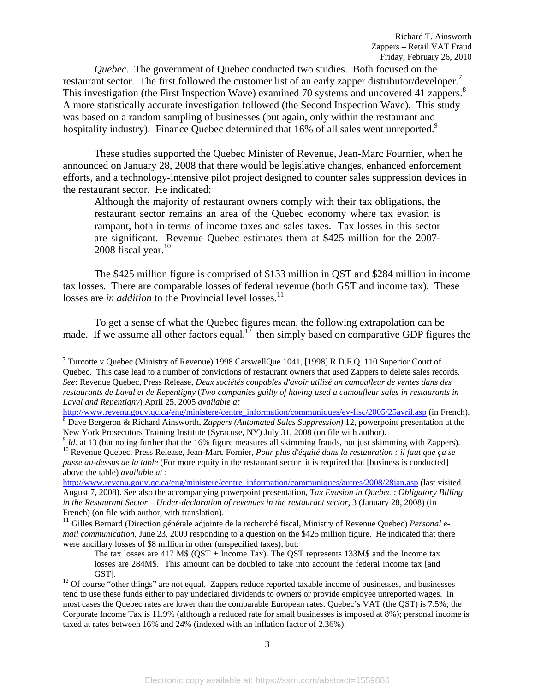*Quebec*. The government of Quebec conducted two studies. Both focused on the restaurant sector. The first followed the customer list of an early zapper distributor/developer.<sup>7</sup> This investigation (the First Inspection Wave) examined 70 systems and uncovered 41 zappers.<sup>8</sup> A more statistically accurate investigation followed (the Second Inspection Wave). This study was based on a random sampling of businesses (but again, only within the restaurant and hospitality industry). Finance Quebec determined that 16% of all sales went unreported.<sup>9</sup>

 These studies supported the Quebec Minister of Revenue, Jean-Marc Fournier, when he announced on January 28, 2008 that there would be legislative changes, enhanced enforcement efforts, and a technology-intensive pilot project designed to counter sales suppression devices in the restaurant sector. He indicated:

Although the majority of restaurant owners comply with their tax obligations, the restaurant sector remains an area of the Quebec economy where tax evasion is rampant, both in terms of income taxes and sales taxes. Tax losses in this sector are significant. Revenue Quebec estimates them at \$425 million for the 2007- 2008 fiscal year. $10$ 

The \$425 million figure is comprised of \$133 million in QST and \$284 million in income tax losses. There are comparable losses of federal revenue (both GST and income tax). These losses are *in addition* to the Provincial level losses.<sup>11</sup>

To get a sense of what the Quebec figures mean, the following extrapolation can be made. If we assume all other factors equal, $12$  then simply based on comparative GDP figures the

l

<sup>11</sup> Gilles Bernard (Direction générale adjointe de la recherché fiscal, Ministry of Revenue Quebec) *Personal email communication,* June 23, 2009 responding to a question on the \$425 million figure. He indicated that there were ancillary losses of \$8 million in other (unspecified taxes), but:

<sup>&</sup>lt;sup>7</sup> Turcotte v Quebec (Ministry of Revenue) 1998 CarswellQue 1041, [1998] R.D.F.Q. 110 Superior Court of Quebec. This case lead to a number of convictions of restaurant owners that used Zappers to delete sales records. *See*: Revenue Quebec, Press Release, *Deux sociétés coupables d'avoir utilisé un camoufleur de ventes dans des restaurants de Laval et de Repentigny* (*Two companies guilty of having used a camoufleur sales in restaurants in Laval and Repentigny*) April 25, 2005 *available at* 

http://www.revenu.gouv.qc.ca/eng/ministere/centre\_information/communiques/ev-fisc/2005/25avril.asp (in French). Dave Bergeron & Richard Ainsworth, *Zappers (Automated Sales Suppression)* 12, powerpoint presentation at the

<sup>&</sup>lt;sup>9</sup> *Id.* at 13 (but noting further that the 16% figure measures all skimming frauds, not just skimming with Zappers). <sup>10</sup> Revenue Quebec, Press Release, Jean-Marc Fornier, *Pour plus d'équité dans la restauration : il f passe au-dessus de la table* (For more equity in the restaurant sector it is required that [business is conducted] above the table) *available at* :

http://www.revenu.gouv.qc.ca/eng/ministere/centre\_information/communiques/autres/2008/28jan.asp (last visited August 7, 2008). See also the accompanying powerpoint presentation, *Tax Evasion in Quebec : Obligatory Billing*  in the Restaurant Sector – Under-declaration of revenues in the restaurant sector, 3 (January 28, 2008) (in French) (on file with author, with translation).

The tax losses are 417 M\$ (QST + Income Tax). The QST represents 133M\$ and the Income tax losses are 284M\$. This amount can be doubled to take into account the federal income tax [and

GST].<br><sup>12</sup> Of course "other things" are not equal. Zappers reduce reported taxable income of businesses, and businesses tend to use these funds either to pay undeclared dividends to owners or provide employee unreported wages. In most cases the Quebec rates are lower than the comparable European rates. Quebec's VAT (the QST) is 7.5%; the Corporate Income Tax is 11.9% (although a reduced rate for small businesses is imposed at 8%); personal income is taxed at rates between 16% and 24% (indexed with an inflation factor of 2.36%).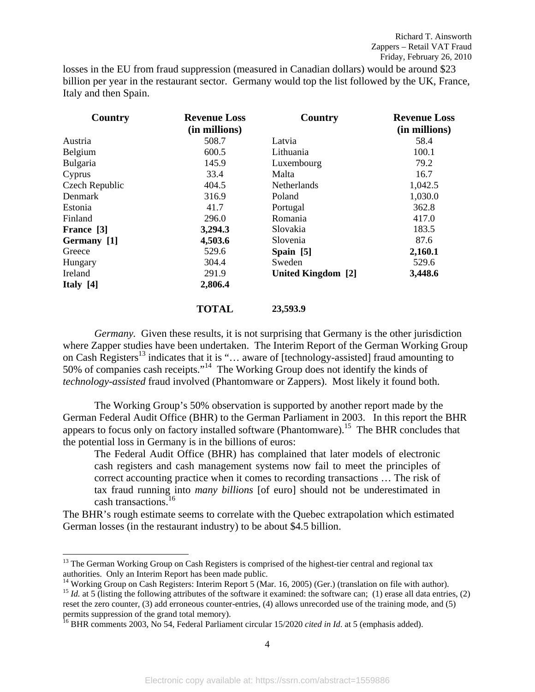losses in the EU from fraud suppression (measured in Canadian dollars) would be around \$23 billion per year in the restaurant sector. Germany would top the list followed by the UK, France, Italy and then Spain.

| Country        | <b>Revenue Loss</b><br>(in millions) | Country            | <b>Revenue Loss</b><br>(in millions) |
|----------------|--------------------------------------|--------------------|--------------------------------------|
| Austria        | 508.7                                | Latvia             | 58.4                                 |
| Belgium        | 600.5                                | Lithuania          | 100.1                                |
| Bulgaria       | 145.9                                | Luxembourg         | 79.2                                 |
| Cyprus         | 33.4                                 | Malta              | 16.7                                 |
| Czech Republic | 404.5                                | <b>Netherlands</b> | 1,042.5                              |
| Denmark        | 316.9                                | Poland             | 1,030.0                              |
| Estonia        | 41.7                                 | Portugal           | 362.8                                |
| Finland        | 296.0                                | Romania            | 417.0                                |
| France [3]     | 3,294.3                              | Slovakia           | 183.5                                |
| Germany [1]    | 4,503.6                              | Slovenia           | 87.6                                 |
| Greece         | 529.6                                | Spain $[5]$        | 2,160.1                              |
| Hungary        | 304.4                                | Sweden             | 529.6                                |
| Ireland        | 291.9                                | United Kingdom [2] | 3,448.6                              |
| Italy $[4]$    | 2,806.4                              |                    |                                      |

#### **TOTAL 23,593.9**

*Germany.* Given these results, it is not surprising that Germany is the other jurisdiction where Zapper studies have been undertaken. The Interim Report of the German Working Group on Cash Registers<sup>13</sup> indicates that it is "... aware of [technology-assisted] fraud amounting to 50% of companies cash receipts."14 The Working Group does not identify the kinds of *technology-assisted* fraud involved (Phantomware or Zappers). Most likely it found both.

The Working Group's 50% observation is supported by another report made by the German Federal Audit Office (BHR) to the German Parliament in 2003. In this report the BHR appears to focus only on factory installed software (Phantomware).<sup>15</sup> The BHR concludes that the potential loss in Germany is in the billions of euros:

The Federal Audit Office (BHR) has complained that later models of electronic cash registers and cash management systems now fail to meet the principles of correct accounting practice when it comes to recording transactions … The risk of tax fraud running into *many billions* [of euro] should not be underestimated in cash transactions.<sup>16</sup>

The BHR's rough estimate seems to correlate with the Quebec extrapolation which estimated German losses (in the restaurant industry) to be about \$4.5 billion.

<sup>&</sup>lt;sup>13</sup> The German Working Group on Cash Registers is comprised of the highest-tier central and regional tax authorities. Only an Interim Report has been made public.

<sup>&</sup>lt;sup>14</sup> Working Group on Cash Registers: Interim Report 5 (Mar. 16, 2005) (Ger.) (translation on file with author).<br><sup>15</sup> *Id.* at 5 (listing the following attributes of the software it examined: the software can; (1) erase a

reset the zero counter, (3) add erroneous counter-entries, (4) allows unrecorded use of the training mode, and (5) permits suppression of the grand total memory).

<sup>16</sup> BHR comments 2003, No 54, Federal Parliament circular 15/2020 *cited in Id*. at 5 (emphasis added).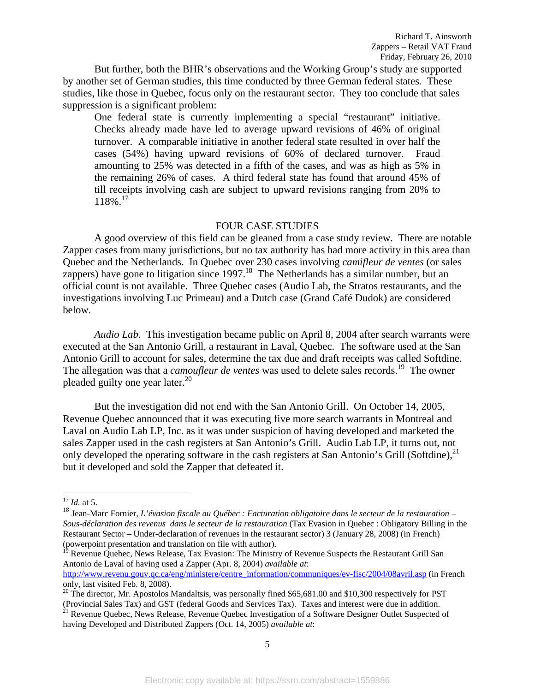But further, both the BHR's observations and the Working Group's study are supported by another set of German studies, this time conducted by three German federal states*.* These studies, like those in Quebec, focus only on the restaurant sector. They too conclude that sales suppression is a significant problem:

One federal state is currently implementing a special "restaurant" initiative. Checks already made have led to average upward revisions of 46% of original turnover. A comparable initiative in another federal state resulted in over half the cases (54%) having upward revisions of 60% of declared turnover. Fraud amounting to 25% was detected in a fifth of the cases, and was as high as 5% in the remaining 26% of cases. A third federal state has found that around 45% of till receipts involving cash are subject to upward revisions ranging from 20% to  $118\%$ <sup>17</sup>

#### FOUR CASE STUDIES

 A good overview of this field can be gleaned from a case study review. There are notable Zapper cases from many jurisdictions, but no tax authority has had more activity in this area than Quebec and the Netherlands. In Quebec over 230 cases involving *camifleur de ventes* (or sales zappers) have gone to litigation since  $1997$ .<sup>18</sup> The Netherlands has a similar number, but an official count is not available. Three Quebec cases (Audio Lab, the Stratos restaurants, and the investigations involving Luc Primeau) and a Dutch case (Grand Café Dudok) are considered below.

*Audio Lab*. This investigation became public on April 8, 2004 after search warrants were executed at the San Antonio Grill, a restaurant in Laval, Quebec. The software used at the San Antonio Grill to account for sales, determine the tax due and draft receipts was called Softdine. The allegation was that a *camoufleur de ventes* was used to delete sales records.<sup>19</sup> The owner pleaded guilty one year later.<sup>20</sup>

But the investigation did not end with the San Antonio Grill. On October 14, 2005, Revenue Quebec announced that it was executing five more search warrants in Montreal and Laval on Audio Lab LP, Inc. as it was under suspicion of having developed and marketed the sales Zapper used in the cash registers at San Antonio's Grill. Audio Lab LP, it turns out, not only developed the operating software in the cash registers at San Antonio's Grill (Softdine),<sup>21</sup> but it developed and sold the Zapper that defeated it.

<sup>17</sup> *Id.* at 5.

<sup>18</sup> Jean-Marc Fornier, *L'évasion fiscale au Québec : Facturation obligatoire dans le secteur de la restauration – Sous-déclaration des revenus dans le secteur de la restauration* (Tax Evasion in Quebec : Obligatory Billing in the Restaurant Sector – Under-declaration of revenues in the restaurant sector) 3 (January 28, 2008) (in French) (powerpoint presentation and translation on file with author).

<sup>19</sup> Revenue Quebec, News Release, Tax Evasion: The Ministry of Revenue Suspects the Restaurant Grill San Antonio de Laval of having used a Zapper (Apr. 8, 2004) *available at*:

http://www.revenu.gouv.qc.ca/eng/ministere/centre\_information/communiques/ev-fisc/2004/08avril.asp (in French only, last visited Feb. 8, 2008).

<sup>&</sup>lt;sup>20</sup> The director, Mr. Apostolos Mandaltsis, was personally fined \$65,681.00 and \$10,300 respectively for PST (Provincial Sales Tax) and GST (federal Goods and Services Tax). Taxes and interest were due in addition.

<sup>&</sup>lt;sup>21</sup> Revenue Quebec, News Release, Revenue Quebec Investigation of a Software Designer Outlet Suspected of having Developed and Distributed Zappers (Oct. 14, 2005) *available at*: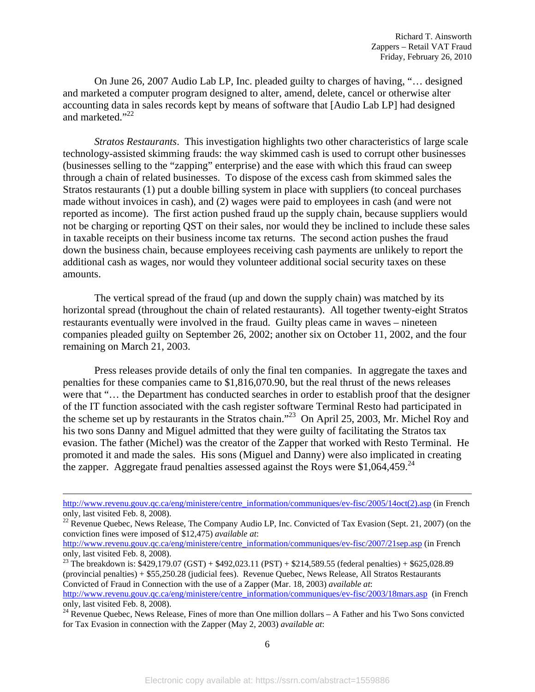On June 26, 2007 Audio Lab LP, Inc. pleaded guilty to charges of having, "… designed and marketed a computer program designed to alter, amend, delete, cancel or otherwise alter accounting data in sales records kept by means of software that [Audio Lab LP] had designed and marketed."<sup>22</sup>

*Stratos Restaurants*. This investigation highlights two other characteristics of large scale technology-assisted skimming frauds: the way skimmed cash is used to corrupt other businesses (businesses selling to the "zapping" enterprise) and the ease with which this fraud can sweep through a chain of related businesses. To dispose of the excess cash from skimmed sales the Stratos restaurants (1) put a double billing system in place with suppliers (to conceal purchases made without invoices in cash), and (2) wages were paid to employees in cash (and were not reported as income). The first action pushed fraud up the supply chain, because suppliers would not be charging or reporting QST on their sales, nor would they be inclined to include these sales in taxable receipts on their business income tax returns. The second action pushes the fraud down the business chain, because employees receiving cash payments are unlikely to report the additional cash as wages, nor would they volunteer additional social security taxes on these amounts.

The vertical spread of the fraud (up and down the supply chain) was matched by its horizontal spread (throughout the chain of related restaurants). All together twenty-eight Stratos restaurants eventually were involved in the fraud. Guilty pleas came in waves – nineteen companies pleaded guilty on September 26, 2002; another six on October 11, 2002, and the four remaining on March 21, 2003.

Press releases provide details of only the final ten companies. In aggregate the taxes and penalties for these companies came to \$1,816,070.90, but the real thrust of the news releases were that "… the Department has conducted searches in order to establish proof that the designer of the IT function associated with the cash register software Terminal Resto had participated in the scheme set up by restaurants in the Stratos chain."23 On April 25, 2003, Mr. Michel Roy and his two sons Danny and Miguel admitted that they were guilty of facilitating the Stratos tax evasion. The father (Michel) was the creator of the Zapper that worked with Resto Terminal. He promoted it and made the sales. His sons (Miguel and Danny) were also implicated in creating the zapper. Aggregate fraud penalties assessed against the Roys were \$1,064,459.<sup>24</sup>

http://www.revenu.gouv.qc.ca/eng/ministere/centre\_information/communiques/ev-fisc/2005/14oct(2).asp (in French only, last visited Feb. 8, 2008).

<sup>&</sup>lt;sup>22</sup> Revenue Quebec, News Release, The Company Audio LP, Inc. Convicted of Tax Evasion (Sept. 21, 2007) (on the conviction fines were imposed of \$12,475) *available at*:

http://www.revenu.gouv.qc.ca/eng/ministere/centre\_information/communiques/ev-fisc/2007/21sep.asp (in French only, last visited Feb. 8, 2008).

<sup>&</sup>lt;sup>23</sup> The breakdown is:  $$429,179.07$  (GST) +  $$492,023.11$  (PST) +  $$214,589.55$  (federal penalties) +  $$625,028.89$ (provincial penalties) + \$55,250.28 (judicial fees). Revenue Quebec, News Release, All Stratos Restaurants Convicted of Fraud in Connection with the use of a Zapper (Mar. 18, 2003) *available at*:

http://www.revenu.gouv.qc.ca/eng/ministere/centre\_information/communiques/ev-fisc/2003/18mars.asp (in French only, last visited Feb. 8, 2008).

 $24$  Revenue Quebec, News Release, Fines of more than One million dollars – A Father and his Two Sons convicted for Tax Evasion in connection with the Zapper (May 2, 2003) *available at*: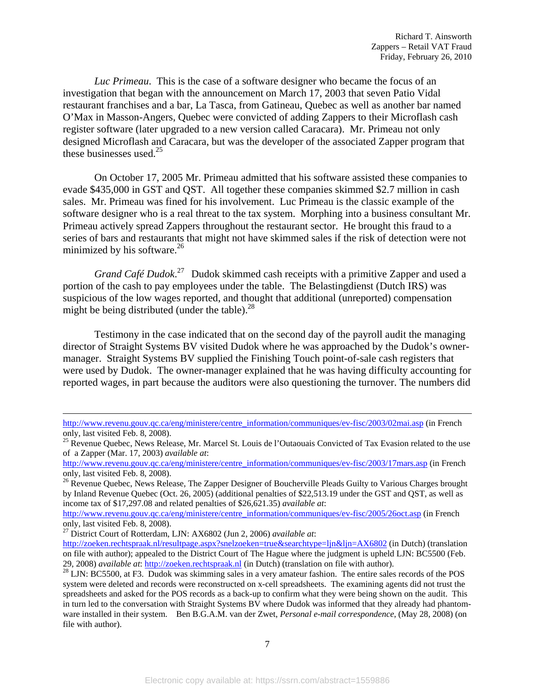*Luc Primeau*. This is the case of a software designer who became the focus of an investigation that began with the announcement on March 17, 2003 that seven Patio Vidal restaurant franchises and a bar, La Tasca, from Gatineau, Quebec as well as another bar named O'Max in Masson-Angers, Quebec were convicted of adding Zappers to their Microflash cash register software (later upgraded to a new version called Caracara). Mr. Primeau not only designed Microflash and Caracara, but was the developer of the associated Zapper program that these businesses used. $^{25}$ 

On October 17, 2005 Mr. Primeau admitted that his software assisted these companies to evade \$435,000 in GST and QST. All together these companies skimmed \$2.7 million in cash sales. Mr. Primeau was fined for his involvement. Luc Primeau is the classic example of the software designer who is a real threat to the tax system. Morphing into a business consultant Mr. Primeau actively spread Zappers throughout the restaurant sector. He brought this fraud to a series of bars and restaurants that might not have skimmed sales if the risk of detection were not minimized by his software.<sup>26</sup>

*Grand Café Dudok*. 27 Dudok skimmed cash receipts with a primitive Zapper and used a portion of the cash to pay employees under the table. The Belastingdienst (Dutch IRS) was suspicious of the low wages reported, and thought that additional (unreported) compensation might be being distributed (under the table). $^{28}$ 

Testimony in the case indicated that on the second day of the payroll audit the managing director of Straight Systems BV visited Dudok where he was approached by the Dudok's ownermanager. Straight Systems BV supplied the Finishing Touch point-of-sale cash registers that were used by Dudok. The owner-manager explained that he was having difficulty accounting for reported wages, in part because the auditors were also questioning the turnover. The numbers did

27 District Court of Rotterdam, LJN: AX6802 (Jun 2, 2006) *available at*:

 $\overline{\phantom{a}}$ 

http://www.revenu.gouv.qc.ca/eng/ministere/centre\_information/communiques/ev-fisc/2003/02mai.asp (in French only, last visited Feb. 8, 2008).

<sup>&</sup>lt;sup>25</sup> Revenue Quebec, News Release, Mr. Marcel St. Louis de l'Outaouais Convicted of Tax Evasion related to the use of a Zapper (Mar. 17, 2003) *available at*:

http://www.revenu.gouv.qc.ca/eng/ministere/centre\_information/communiques/ev-fisc/2003/17mars.asp (in French only, last visited Feb. 8, 2008).

<sup>&</sup>lt;sup>26</sup> Revenue Quebec, News Release, The Zapper Designer of Boucherville Pleads Guilty to Various Charges brought by Inland Revenue Quebec (Oct. 26, 2005) (additional penalties of \$22,513.19 under the GST and QST, as well as income tax of \$17,297.08 and related penalties of \$26,621.35) *available at*:

http://www.revenu.gouv.qc.ca/eng/ministere/centre\_information/communiques/ev-fisc/2005/26oct.asp (in French only, last visited Feb. 8, 2008).

http://zoeken.rechtspraak.nl/resultpage.aspx?snelzoeken=true&searchtype=ljn&ljn=AX6802 (in Dutch) (translation on file with author); appealed to the District Court of The Hague where the judgment is upheld LJN: BC5500 (Feb. 29, 2008) *available at*: http://zoeken.rechtspraak.nl (in Dutch) (translation on file with author). 28 LJN: BC5500, at F3. Dudok was skimming sales in a very amateur fashion. The entire sales records of the POS

system were deleted and records were reconstructed on x-cell spreadsheets. The examining agents did not trust the spreadsheets and asked for the POS records as a back-up to confirm what they were being shown on the audit. This in turn led to the conversation with Straight Systems BV where Dudok was informed that they already had phantomware installed in their system. Ben B.G.A.M. van der Zwet, *Personal e-mail correspondence*, (May 28, 2008) (on file with author).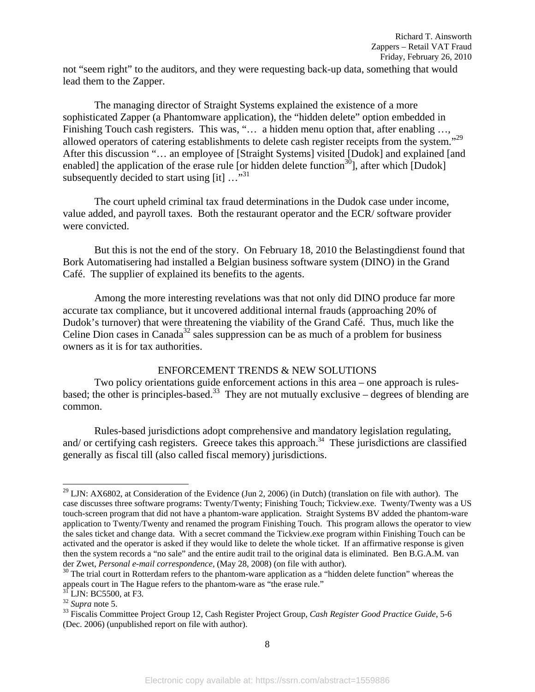not "seem right" to the auditors, and they were requesting back-up data, something that would lead them to the Zapper.

The managing director of Straight Systems explained the existence of a more sophisticated Zapper (a Phantomware application), the "hidden delete" option embedded in Finishing Touch cash registers. This was, "... a hidden menu option that, after enabling ..., allowed operators of catering establishments to delete cash register receipts from the system."<sup>29</sup> After this discussion "… an employee of [Straight Systems] visited [Dudok] and explained [and enabled] the application of the erase rule [or hidden delete function<sup>30</sup>], after which [Dudok] subsequently decided to start using  $\lceil \text{it} \rceil \dots$ <sup>31</sup>

The court upheld criminal tax fraud determinations in the Dudok case under income, value added, and payroll taxes. Both the restaurant operator and the ECR/ software provider were convicted.

But this is not the end of the story. On February 18, 2010 the Belastingdienst found that Bork Automatisering had installed a Belgian business software system (DINO) in the Grand Café. The supplier of explained its benefits to the agents.

Among the more interesting revelations was that not only did DINO produce far more accurate tax compliance, but it uncovered additional internal frauds (approaching 20% of Dudok's turnover) that were threatening the viability of the Grand Café. Thus, much like the Celine Dion cases in Canada<sup>32</sup> sales suppression can be as much of a problem for business owners as it is for tax authorities.

#### ENFORCEMENT TRENDS & NEW SOLUTIONS

Two policy orientations guide enforcement actions in this area – one approach is rulesbased; the other is principles-based.<sup>33</sup> They are not mutually exclusive – degrees of blending are common.

Rules-based jurisdictions adopt comprehensive and mandatory legislation regulating, and/ or certifying cash registers. Greece takes this approach.<sup>34</sup> These jurisdictions are classified generally as fiscal till (also called fiscal memory) jurisdictions.

 $^{29}$  LJN: AX6802, at Consideration of the Evidence (Jun 2, 2006) (in Dutch) (translation on file with author). The case discusses three software programs: Twenty/Twenty; Finishing Touch; Tickview.exe. Twenty/Twenty was a US touch-screen program that did not have a phantom-ware application. Straight Systems BV added the phantom-ware application to Twenty/Twenty and renamed the program Finishing Touch. This program allows the operator to view the sales ticket and change data. With a secret command the Tickview.exe program within Finishing Touch can be activated and the operator is asked if they would like to delete the whole ticket. If an affirmative response is given then the system records a "no sale" and the entire audit trail to the original data is eliminated. Ben B.G.A.M. van der Zwet, *Personal e-mail correspondence*, (May 28, 2008) (on file with author).<br><sup>30</sup> The trial court in Rotterdam refers to the phantom-ware application as a "hidden delete function" whereas the

appeals court in The Hague refers to the phantom-ware as "the erase rule."

 $3\overline{1}$  LJN: BC5500, at F3.

<sup>&</sup>lt;sup>32</sup> *Supra* note 5.<br><sup>33</sup> Fiscalis Committee Project Group 12, Cash Register Project Group, *Cash Register Good Practice Guide*, 5-6 (Dec. 2006) (unpublished report on file with author).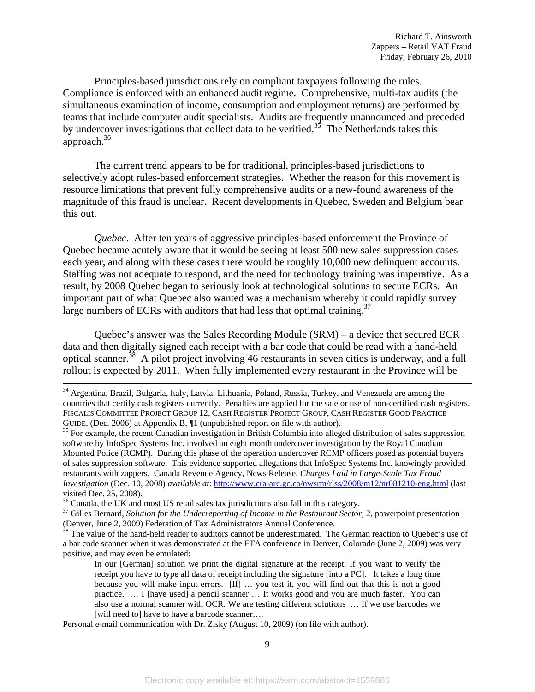Principles-based jurisdictions rely on compliant taxpayers following the rules. Compliance is enforced with an enhanced audit regime. Comprehensive, multi-tax audits (the simultaneous examination of income, consumption and employment returns) are performed by teams that include computer audit specialists. Audits are frequently unannounced and preceded by undercover investigations that collect data to be verified.<sup>35</sup> The Netherlands takes this approach.36

The current trend appears to be for traditional, principles-based jurisdictions to selectively adopt rules-based enforcement strategies. Whether the reason for this movement is resource limitations that prevent fully comprehensive audits or a new-found awareness of the magnitude of this fraud is unclear. Recent developments in Quebec, Sweden and Belgium bear this out.

*Quebec*. After ten years of aggressive principles-based enforcement the Province of Quebec became acutely aware that it would be seeing at least 500 new sales suppression cases each year, and along with these cases there would be roughly 10,000 new delinquent accounts. Staffing was not adequate to respond, and the need for technology training was imperative. As a result, by 2008 Quebec began to seriously look at technological solutions to secure ECRs. An important part of what Quebec also wanted was a mechanism whereby it could rapidly survey large numbers of ECRs with auditors that had less that optimal training.<sup>37</sup>

Quebec's answer was the Sales Recording Module (SRM) – a device that secured ECR data and then digitally signed each receipt with a bar code that could be read with a hand-held optical scanner.<sup>38</sup> A pilot project involving 46 restaurants in seven cities is underway, and a full rollout is expected by 2011. When fully implemented every restaurant in the Province will be

 <sup>34</sup> Argentina, Brazil, Bulgaria, Italy, Latvia, Lithuania, Poland, Russia, Turkey, and Venezuela are among the countries that certify cash registers currently. Penalties are applied for the sale or use of non-certified cash registers. FISCALIS COMMITTEE PROJECT GROUP 12, CASH REGISTER PROJECT GROUP, CASH REGISTER GOOD PRACTICE GUIDE, (Dec. 2006) at Appendix B,  $\P$ 1 (unpublished report on file with author).

 $^{35}$  For example, the recent Canadian investigation in British Columbia into alleged distribution of sales suppression software by InfoSpec Systems Inc. involved an eight month undercover investigation by the Royal Canadian Mounted Police (RCMP). During this phase of the operation undercover RCMP officers posed as potential buyers of sales suppression software. This evidence supported allegations that InfoSpec Systems Inc. knowingly provided restaurants with zappers. Canada Revenue Agency, News Release, *Charges Laid in Large-Scale Tax Fraud Investigation* (Dec. 10, 2008) *available at*: http://www.cra-arc.gc.ca/nwsrm/rlss/2008/m12/nr081210-eng.html (last visited Dec. 25, 2008).<br><sup>36</sup> Canada, the UK and most US retail sales tax jurisdictions also fall in this category.

<sup>&</sup>lt;sup>37</sup> Gilles Bernard, *Solution for the Underreporting of Income in the Restaurant Sector*, 2, powerpoint presentation (Denver, June 2, 2009) Federation of Tax Administrators Annual Conference.

<sup>&</sup>lt;sup>38</sup> The value of the hand-held reader to auditors cannot be underestimated. The German reaction to Quebec's use of a bar code scanner when it was demonstrated at the FTA conference in Denver, Colorado (June 2, 2009) was very positive, and may even be emulated:

In our [German] solution we print the digital signature at the receipt. If you want to verify the receipt you have to type all data of receipt including the signature [into a PC]. It takes a long time because you will make input errors. [If] … you test it, you will find out that this is not a good practice. … I [have used] a pencil scanner … It works good and you are much faster. You can also use a normal scanner with OCR. We are testing different solutions … If we use barcodes we [will need to] have to have a barcode scanner....

Personal e-mail communication with Dr. Zisky (August 10, 2009) (on file with author).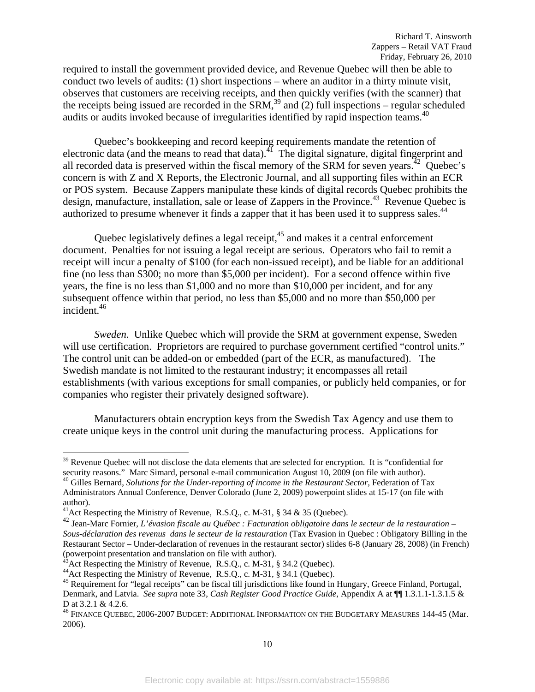required to install the government provided device, and Revenue Quebec will then be able to conduct two levels of audits: (1) short inspections – where an auditor in a thirty minute visit, observes that customers are receiving receipts, and then quickly verifies (with the scanner) that the receipts being issued are recorded in the SRM,<sup>39</sup> and (2) full inspections – regular scheduled audits or audits invoked because of irregularities identified by rapid inspection teams.<sup>40</sup>

Quebec's bookkeeping and record keeping requirements mandate the retention of electronic data (and the means to read that data).<sup>41</sup> The digital signature, digital fingerprint and all recorded data is preserved within the fiscal memory of the SRM for seven years.<sup>42</sup> Quebec's concern is with Z and X Reports, the Electronic Journal, and all supporting files within an ECR or POS system. Because Zappers manipulate these kinds of digital records Quebec prohibits the design, manufacture, installation, sale or lease of Zappers in the Province.<sup>43</sup> Revenue Quebec is authorized to presume whenever it finds a zapper that it has been used it to suppress sales.<sup>44</sup>

Quebec legislatively defines a legal receipt, $45$  and makes it a central enforcement document. Penalties for not issuing a legal receipt are serious. Operators who fail to remit a receipt will incur a penalty of \$100 (for each non-issued receipt), and be liable for an additional fine (no less than \$300; no more than \$5,000 per incident). For a second offence within five years, the fine is no less than \$1,000 and no more than \$10,000 per incident, and for any subsequent offence within that period, no less than \$5,000 and no more than \$50,000 per incident.46

*Sweden*. Unlike Quebec which will provide the SRM at government expense, Sweden will use certification. Proprietors are required to purchase government certified "control units." The control unit can be added-on or embedded (part of the ECR, as manufactured). The Swedish mandate is not limited to the restaurant industry; it encompasses all retail establishments (with various exceptions for small companies, or publicly held companies, or for companies who register their privately designed software).

Manufacturers obtain encryption keys from the Swedish Tax Agency and use them to create unique keys in the control unit during the manufacturing process. Applications for

 $39$  Revenue Quebec will not disclose the data elements that are selected for encryption. It is "confidential for security reasons." Marc Simard, personal e-mail communication August 10, 2009 (on file with author).

<sup>&</sup>lt;sup>40</sup> Gilles Bernard, *Solutions for the Under-reporting of income in the Restaurant Sector*, Federation of Tax Administrators Annual Conference, Denver Colorado (June 2, 2009) powerpoint slides at 15-17 (on file with author).<br><sup>41</sup>Act Respecting the Ministry of Revenue, R.S.Q., c. M-31, § 34 & 35 (Quebec).

<sup>42</sup> Jean-Marc Fornier, *L'évasion fiscale au Québec : Facturation obligatoire dans le secteur de la restauration – Sous-déclaration des revenus dans le secteur de la restauration* (Tax Evasion in Quebec : Obligatory Billing in the Restaurant Sector – Under-declaration of revenues in the restaurant sector) slides 6-8 (January 28, 2008) (in French) (powerpoint presentation and translation on file with author).<br><sup>43</sup> Act Respecting the Ministry of Revenue, R.S.Q., c. M-31, § 34.2 (Quebec).

<sup>44&</sup>lt;br>Act Respecting the Ministry of Revenue, R.S.Q., c. M-31, § 34.1 (Quebec).<br><sup>45</sup> Requirement for "legal receipts" can be fiscal till jurisdictions like found in Hungary, Greece Finland, Portugal, Denmark, and Latvia. *See supra* note 33, *Cash Register Good Practice Guide*, Appendix A at ¶¶ 1.3.1.1-1.3.1.5 & D at 3.2.1 & 4.2.6.<br><sup>46</sup> FINANCE QUEBEC, 2006-2007 BUDGET: ADDITIONAL INFORMATION ON THE BUDGETARY MEASURES 144-45 (Mar.

<sup>2006).</sup>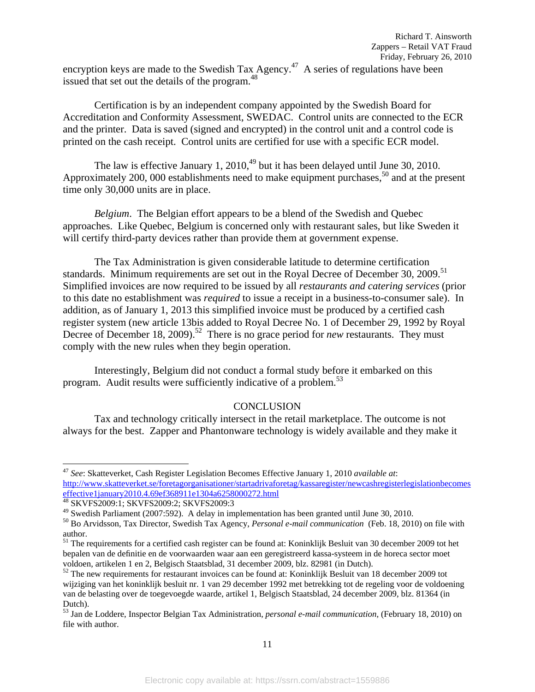encryption keys are made to the Swedish Tax Agency.<sup>47</sup> A series of regulations have been issued that set out the details of the program.<sup>48</sup>

Certification is by an independent company appointed by the Swedish Board for Accreditation and Conformity Assessment, SWEDAC. Control units are connected to the ECR and the printer. Data is saved (signed and encrypted) in the control unit and a control code is printed on the cash receipt. Control units are certified for use with a specific ECR model.

The law is effective January 1,  $2010<sup>49</sup>$  but it has been delayed until June 30, 2010. Approximately 200, 000 establishments need to make equipment purchases,<sup>50</sup> and at the present time only 30,000 units are in place.

*Belgium*. The Belgian effort appears to be a blend of the Swedish and Quebec approaches. Like Quebec, Belgium is concerned only with restaurant sales, but like Sweden it will certify third-party devices rather than provide them at government expense.

The Tax Administration is given considerable latitude to determine certification standards. Minimum requirements are set out in the Royal Decree of December 30, 2009.<sup>51</sup> Simplified invoices are now required to be issued by all *restaurants and catering services* (prior to this date no establishment was *required* to issue a receipt in a business-to-consumer sale). In addition, as of January 1, 2013 this simplified invoice must be produced by a certified cash register system (new article 13bis added to Royal Decree No. 1 of December 29, 1992 by Royal Decree of December 18, 2009).<sup>52</sup> There is no grace period for *new* restaurants. They must comply with the new rules when they begin operation.

Interestingly, Belgium did not conduct a formal study before it embarked on this program. Audit results were sufficiently indicative of a problem.<sup>53</sup>

#### **CONCLUSION**

 Tax and technology critically intersect in the retail marketplace. The outcome is not always for the best. Zapper and Phantonware technology is widely available and they make it

<sup>47</sup> *See*: Skatteverket, Cash Register Legislation Becomes Effective January 1, 2010 *available at*: http://www.skatteverket.se/foretagorganisationer/startadrivaforetag/kassaregister/newcashregisterlegislationbecomes effective1january2010.4.69ef368911e1304a6258000272.html<br><sup>48</sup> SKVFS2009:1; SKVFS2009:2; SKVFS2009:3<br><sup>49</sup> Swedish Parliament (2007:592). A delay in implementation has been granted until June 30, 2010.

<sup>&</sup>lt;sup>50</sup> Bo Arvidsson, Tax Director, Swedish Tax Agency, *Personal e-mail communication* (Feb. 18, 2010) on file with author.

<sup>&</sup>lt;sup>51</sup> The requirements for a certified cash register can be found at: Koninklijk Besluit van 30 december 2009 tot het bepalen van de definitie en de voorwaarden waar aan een geregistreerd kassa-systeem in de horeca sector moet voldoen, artikelen 1 en 2, Belgisch Staatsblad, 31 december 2009, blz. 82981 (in Dutch).<br><sup>52</sup> The new requirements for restaurant invoices can be found at: Koninklijk Besluit van 18 december 2009 tot

wijziging van het koninklijk besluit nr. 1 van 29 december 1992 met betrekking tot de regeling voor de voldoening van de belasting over de toegevoegde waarde, artikel 1, Belgisch Staatsblad, 24 december 2009, blz. 81364 (in Dutch).

<sup>53</sup> Jan de Loddere, Inspector Belgian Tax Administration, *personal e-mail communication,* (February 18, 2010) on file with author.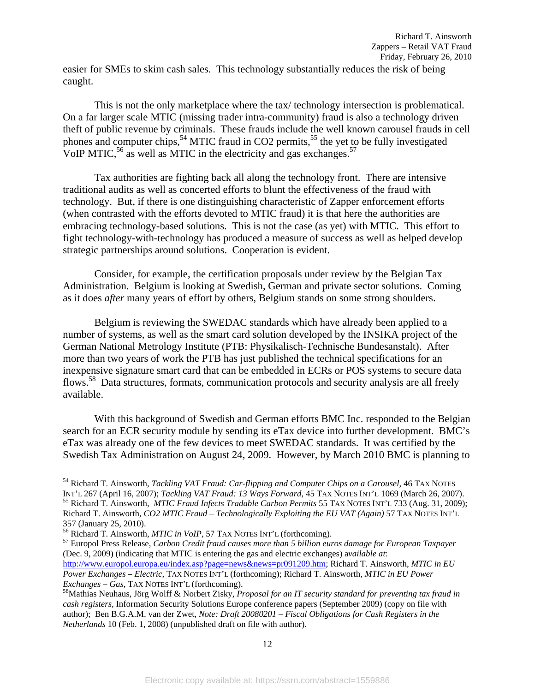easier for SMEs to skim cash sales. This technology substantially reduces the risk of being caught.

This is not the only marketplace where the tax/ technology intersection is problematical. On a far larger scale MTIC (missing trader intra-community) fraud is also a technology driven theft of public revenue by criminals. These frauds include the well known carousel frauds in cell phones and computer chips,<sup>54</sup> MTIC fraud in CO2 permits,<sup>55</sup> the yet to be fully investigated VoIP MTIC,  $^{56}$  as well as MTIC in the electricity and gas exchanges.  $^{57}$ 

Tax authorities are fighting back all along the technology front. There are intensive traditional audits as well as concerted efforts to blunt the effectiveness of the fraud with technology. But, if there is one distinguishing characteristic of Zapper enforcement efforts (when contrasted with the efforts devoted to MTIC fraud) it is that here the authorities are embracing technology-based solutions. This is not the case (as yet) with MTIC. This effort to fight technology-with-technology has produced a measure of success as well as helped develop strategic partnerships around solutions. Cooperation is evident.

Consider, for example, the certification proposals under review by the Belgian Tax Administration. Belgium is looking at Swedish, German and private sector solutions. Coming as it does *after* many years of effort by others, Belgium stands on some strong shoulders.

Belgium is reviewing the SWEDAC standards which have already been applied to a number of systems, as well as the smart card solution developed by the INSIKA project of the German National Metrology Institute (PTB: Physikalisch-Technische Bundesanstalt). After more than two years of work the PTB has just published the technical specifications for an inexpensive signature smart card that can be embedded in ECRs or POS systems to secure data flows.<sup>58</sup> Data structures, formats, communication protocols and security analysis are all freely available.

With this background of Swedish and German efforts BMC Inc. responded to the Belgian search for an ECR security module by sending its eTax device into further development. BMC's eTax was already one of the few devices to meet SWEDAC standards. It was certified by the Swedish Tax Administration on August 24, 2009. However, by March 2010 BMC is planning to

<sup>54</sup> Richard T. Ainsworth, *Tackling VAT Fraud: Car-flipping and Computer Chips on a Carousel*, 46 TAX NOTES INT'L 267 (April 16, 2007); Tackling VAT Fraud: 13 Ways Forward, 45 TAX NOTES INT'L 1069 (March 26, 2007).<br><sup>55</sup> Richard T. Ainsworth, *MTIC Fraud Infects Tradable Carbon Permits* 55 TAX NOTES INT'L 733 (Aug. 31, 2009); Richard T. Ainsworth, *CO2 MTIC Fraud – Technologically Exploiting the EU VAT (Again)* 57 TAX NOTES INT'L

<sup>357 (</sup>January 25, 2010).<br><sup>56</sup> Richard T. Ainsworth, *MTIC in VoIP*, 57 TAX NOTES INT'L (forthcoming).

<sup>&</sup>lt;sup>57</sup> Europol Press Release, *Carbon Credit fraud causes more than 5 billion euros damage for European Taxpayer* (Dec. 9, 2009) (indicating that MTIC is entering the gas and electric exchanges) a*vailable at*: http://www.europol.europa.eu/index.asp?page=news&news=pr091209.htm; Richard T. Ainsworth, *MTIC in EU Power Exchanges – Electric,* TAX NOTES INT'L (forthcoming); Richard T. Ainsworth, *MTIC in EU Power* 

*Exchanges – Gas, TAX NOTES INT'L (forthcoming).*<br><sup>58</sup>Mathias Neuhaus, Jörg Wolff & Norbert Zisky, *Proposal for an IT security standard for preventing tax fraud in cash registers,* Information Security Solutions Europe conference papers (September 2009) (copy on file with author); Ben B.G.A.M. van der Zwet, *Note: Draft 20080201 – Fiscal Obligations for Cash Registers in the Netherlands* 10 (Feb. 1, 2008) (unpublished draft on file with author).